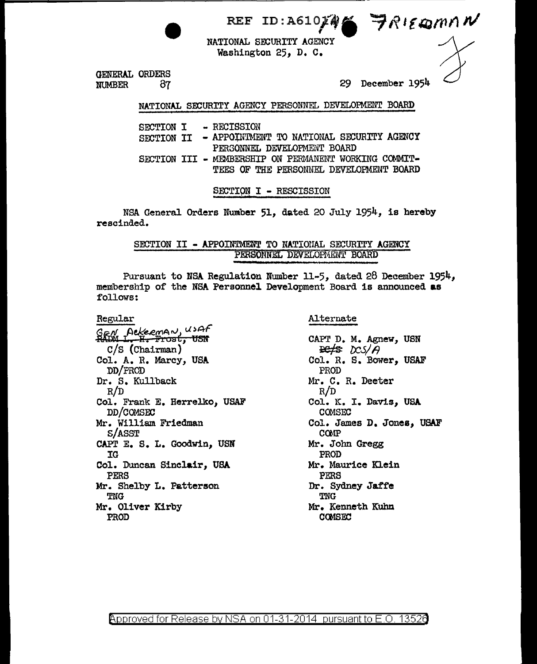REF ID:A610 $M$   $\rightarrow$   $R$ lemmn $M$ 

NATIONAL SECURITI AGENCI Washington 25, D. C.

 $\overbrace{\phantom{a}}^{m n n'}$ 

GENERAL ORDERS NUMBER 87 29 December 1954

NATIONAL SECURITY AGENCY PERSONNEL DEVELOPMENT BOARD

| SECTION I  |  | - RECTSSTON                                           |
|------------|--|-------------------------------------------------------|
| SECTION II |  | - APPOINTMENT TO NATIONAL SECURITY AGENCY             |
|            |  | PERSONNEL DEVELOPMENT BOARD                           |
|            |  | SECTION III - MEMBERSHIP ON PERMANENT WORKING COMMIT- |
|            |  | TEES OF THE PERSONNEL DEVELOPMENT BOARD               |
|            |  |                                                       |

SECTION I - RESCISSION

NSA General Orders Number 51, dated 20 July 1954, is hereby rescinded.

> SECTION II - APPOINTMENT TO NATIONAL SECURITY AGENCY PERSONNEL DEVELOFMENT BOARD

Pursuant to NSA Regulation Number 11-5, dated 28 December 1954, membership of the NSA Personnel Development Board is announced as follows:

Regular  $^{GBN}_{ABM}$  Aekeeman, USAF<br>HADM 1. H. Frost, USN c/s (Chairman) Col. A. R. Marcy, USA DD/PROD Dr. S. Kullback R/D Col. Frank E. Herrelko, USAF DD/COMSEC Mr. William Friedman S/ASST CAPT E. S. L. Goodwin, USN IG Col. Duncan Sinclair, USA PERS Mr. Shelby L. Patterson TNG Mr. Oliver Kirby PROD

Alternate

CAPr D. M. Agnew, USN  $\frac{p_{e}}{g}$   $\frac{p_{c}}{g}$ Col. R. S. Bower, USAF PROD Mr. C. R. Deeter R/D Col. K. I. Davis, USA **COMSEC** Col. James D. Jones, USAF C<sub>Q</sub>M<sub>P</sub> Mr. John Gregg PROD Mr. Maurice Klein PERS Dr. Sydney Jaffe TNG Mr. Kenneth Kuhn COMSEC<sup>1</sup>

 $\beta$ pproved for Release by NSA on 01-31-2014 pursuant to E.O. 1352 $6$